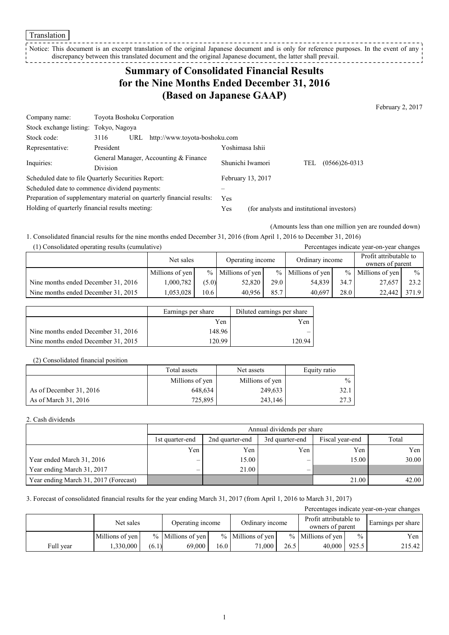Translation

Notice: This document is an excerpt translation of the original Japanese document and is only for reference purposes. In the event of any discrepancy between this translated document and the original Japanese document, the latter shall prevail. --------------

# **Summary of Consolidated Financial Results for the Nine Months Ended December 31, 2016 (Based on Japanese GAAP)**

February 2, 2017

| Company name:                                                         | Toyota Boshoku Corporation                   |                   |                                            |                          |  |  |  |
|-----------------------------------------------------------------------|----------------------------------------------|-------------------|--------------------------------------------|--------------------------|--|--|--|
| Stock exchange listing:                                               | Tokyo, Nagoya                                |                   |                                            |                          |  |  |  |
| Stock code:                                                           | http://www.toyota-boshoku.com<br>3116<br>URL |                   |                                            |                          |  |  |  |
| Representative:                                                       | President                                    | Yoshimasa Ishii   |                                            |                          |  |  |  |
| Inquiries:                                                            | General Manager, Accounting & Finance        | Shunichi Iwamori  |                                            | $(0566)26 - 0313$<br>TEL |  |  |  |
|                                                                       | <b>Division</b>                              |                   |                                            |                          |  |  |  |
| Scheduled date to file Quarterly Securities Report:                   |                                              | February 13, 2017 |                                            |                          |  |  |  |
| Scheduled date to commence dividend payments:                         |                                              |                   |                                            |                          |  |  |  |
| Preparation of supplementary material on quarterly financial results: |                                              | <b>Yes</b>        |                                            |                          |  |  |  |
| Holding of quarterly financial results meeting:                       |                                              | Yes               | (for analysts and institutional investors) |                          |  |  |  |

(Amounts less than one million yen are rounded down)

1. Consolidated financial results for the nine months ended December 31, 2016 (from April 1, 2016 to December 31, 2016)

| (1) Consolidated operating results (cumulative) |                 |                               |                     |                 |                     |                                            | Percentages indicate year-on-year changes |               |
|-------------------------------------------------|-----------------|-------------------------------|---------------------|-----------------|---------------------|--------------------------------------------|-------------------------------------------|---------------|
|                                                 |                 | Operating income<br>Net sales |                     | Ordinary income |                     | Profit attributable to<br>owners of parent |                                           |               |
|                                                 | Millions of yen |                               | $%$ Millions of yen |                 | $%$ Millions of yen | $\frac{0}{0}$                              | Millions of yen                           | $\frac{0}{0}$ |
| Nine months ended December 31, 2016             | 1,000,782       | (5.0)                         | 52,820              | 29.0            | 54.839              | 34.7                                       | 27,657                                    | 23.2          |
| Nine months ended December 31, 2015             | 1.053.028       | 10.6                          | 40.956              | 85.7            | 40.697              | 28.0                                       | 22,442                                    | 371.9         |

|                                     | Earnings per share | Diluted earnings per share |
|-------------------------------------|--------------------|----------------------------|
|                                     | Yen                | Yen                        |
| Nine months ended December 31, 2016 | 148.96             |                            |
| Nine months ended December 31, 2015 | 120.99             | 120.94                     |

#### (2) Consolidated financial position

|                         | Total assets    | Net assets      | Equity ratio  |
|-------------------------|-----------------|-----------------|---------------|
|                         | Millions of yen | Millions of yen | $\frac{0}{0}$ |
| As of December 31, 2016 | 648,634         | 249,633         | 32.1          |
| As of March 31, 2016    | 725,895         | 243.146         | 27.3          |

#### 2. Cash dividends

|                                       |                 | Annual dividends per share                            |     |       |       |  |  |  |  |
|---------------------------------------|-----------------|-------------------------------------------------------|-----|-------|-------|--|--|--|--|
|                                       | 1st quarter-end | 3rd quarter-end<br>Fiscal year-end<br>2nd quarter-end |     |       |       |  |  |  |  |
|                                       | Yen             | Yen                                                   | Yen | Yen   | Yen   |  |  |  |  |
| Year ended March 31, 2016             |                 | 15.00                                                 |     | 15.00 | 30.00 |  |  |  |  |
| Year ending March 31, 2017            |                 | 21.00                                                 |     |       |       |  |  |  |  |
| Year ending March 31, 2017 (Forecast) |                 |                                                       |     | 21.00 | 42.00 |  |  |  |  |

3. Forecast of consolidated financial results for the year ending March 31, 2017 (from April 1, 2016 to March 31, 2017)

|           |                 |                                                                                                |                     |      |                     |      |                     | Percentages indicate year-on-year changes |        |
|-----------|-----------------|------------------------------------------------------------------------------------------------|---------------------|------|---------------------|------|---------------------|-------------------------------------------|--------|
|           |                 | Profit attributable to<br>Ordinary income<br>Net sales<br>Operating income<br>owners of parent |                     |      |                     |      | Earnings per share  |                                           |        |
|           | Millions of yen |                                                                                                | $%$ Millions of yen |      | $%$ Millions of yen |      | $%$ Millions of yen | $\frac{0}{0}$                             | Yen    |
| Full year | .330,000        | (6.1)                                                                                          | 69,000              | 16.0 | 71.000 1            | 26.5 | 40,000              | 925.5                                     | 215.42 |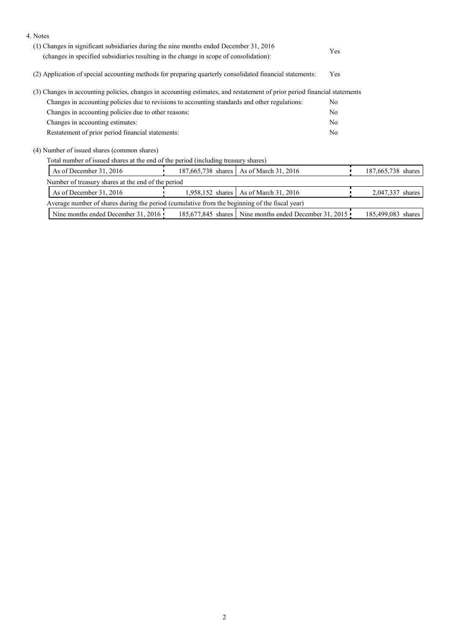| 4. Notes                                                                                                                                                                         |                  |                                                        |    |                    |
|----------------------------------------------------------------------------------------------------------------------------------------------------------------------------------|------------------|--------------------------------------------------------|----|--------------------|
| (1) Changes in significant subsidiaries during the nine months ended December 31, 2016<br>(changes in specified subsidiaries resulting in the change in scope of consolidation): |                  |                                                        |    |                    |
| (2) Application of special accounting methods for preparing quarterly consolidated financial statements:                                                                         | Yes              |                                                        |    |                    |
| (3) Changes in accounting policies, changes in accounting estimates, and restatement of prior period financial statements                                                        |                  |                                                        |    |                    |
| Changes in accounting policies due to revisions to accounting standards and other regulations:                                                                                   |                  |                                                        |    |                    |
| Changes in accounting policies due to other reasons:                                                                                                                             |                  |                                                        |    |                    |
| Changes in accounting estimates:                                                                                                                                                 |                  |                                                        | No |                    |
| Restatement of prior period financial statements:                                                                                                                                |                  |                                                        | No |                    |
| (4) Number of issued shares (common shares)                                                                                                                                      |                  |                                                        |    |                    |
| Total number of issued shares at the end of the period (including treasury shares)                                                                                               |                  |                                                        |    |                    |
| As of December 31, 2016                                                                                                                                                          |                  | 187,665,738 shares   As of March 31, 2016              |    | 187,665,738 shares |
| Number of treasury shares at the end of the period                                                                                                                               |                  |                                                        |    |                    |
| As of December 31, 2016                                                                                                                                                          | 1,958,152 shares | As of March 31, 2016                                   |    | 2,047,337 shares   |
| Average number of shares during the period (cumulative from the beginning of the fiscal year)                                                                                    |                  |                                                        |    |                    |
| Nine months ended December 31, 2016                                                                                                                                              |                  | 185,677,845 shares Nine months ended December 31, 2015 |    | 185,499,083 shares |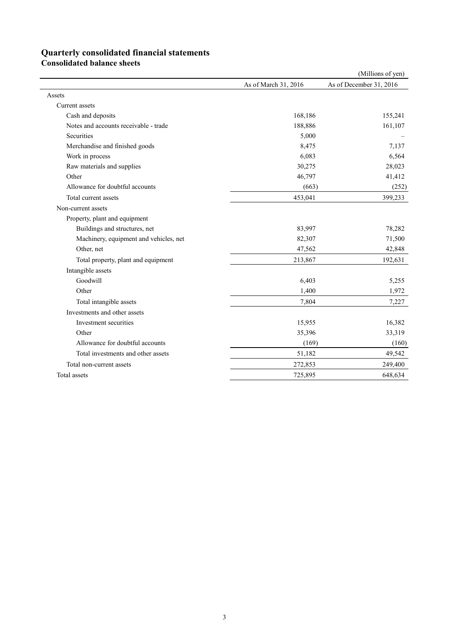# **Quarterly consolidated financial statements**

**Consolidated balance sheets** 

|                                        |                      | (Millions of yen)       |
|----------------------------------------|----------------------|-------------------------|
|                                        | As of March 31, 2016 | As of December 31, 2016 |
| Assets                                 |                      |                         |
| Current assets                         |                      |                         |
| Cash and deposits                      | 168,186              | 155,241                 |
| Notes and accounts receivable - trade  | 188,886              | 161,107                 |
| Securities                             | 5,000                |                         |
| Merchandise and finished goods         | 8,475                | 7,137                   |
| Work in process                        | 6,083                | 6,564                   |
| Raw materials and supplies             | 30,275               | 28,023                  |
| Other                                  | 46,797               | 41,412                  |
| Allowance for doubtful accounts        | (663)                | (252)                   |
| Total current assets                   | 453,041              | 399,233                 |
| Non-current assets                     |                      |                         |
| Property, plant and equipment          |                      |                         |
| Buildings and structures, net          | 83,997               | 78,282                  |
| Machinery, equipment and vehicles, net | 82,307               | 71,500                  |
| Other, net                             | 47,562               | 42,848                  |
| Total property, plant and equipment    | 213,867              | 192,631                 |
| Intangible assets                      |                      |                         |
| Goodwill                               | 6,403                | 5,255                   |
| Other                                  | 1,400                | 1,972                   |
| Total intangible assets                | 7,804                | 7,227                   |
| Investments and other assets           |                      |                         |
| Investment securities                  | 15,955               | 16,382                  |
| Other                                  | 35,396               | 33,319                  |
| Allowance for doubtful accounts        | (169)                | (160)                   |
| Total investments and other assets     | 51,182               | 49,542                  |
| Total non-current assets               | 272,853              | 249,400                 |
| Total assets                           | 725,895              | 648,634                 |
|                                        |                      |                         |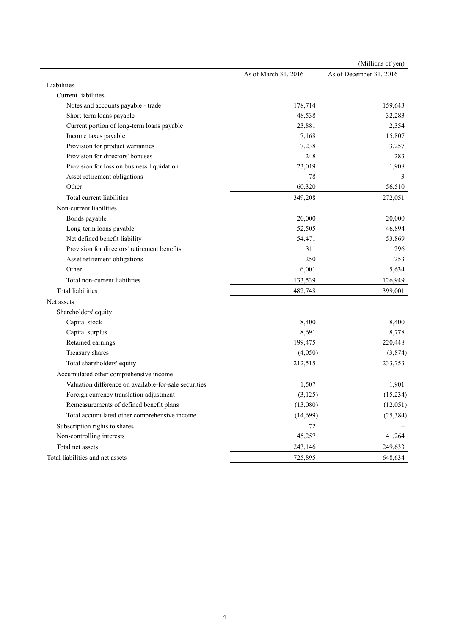|                                                       | As of March 31, 2016 | As of December 31, 2016 |
|-------------------------------------------------------|----------------------|-------------------------|
|                                                       |                      |                         |
| Liabilities                                           |                      |                         |
| Current liabilities                                   |                      |                         |
| Notes and accounts payable - trade                    | 178,714              | 159,643                 |
| Short-term loans payable                              | 48,538               | 32,283                  |
| Current portion of long-term loans payable            | 23,881               | 2,354                   |
| Income taxes payable                                  | 7,168                | 15,807                  |
| Provision for product warranties                      | 7,238                | 3,257                   |
| Provision for directors' bonuses                      | 248                  | 283                     |
| Provision for loss on business liquidation            | 23,019               | 1,908                   |
| Asset retirement obligations                          | 78                   | 3                       |
| Other                                                 | 60,320               | 56,510                  |
| Total current liabilities                             | 349,208              | 272,051                 |
| Non-current liabilities                               |                      |                         |
| Bonds payable                                         | 20,000               | 20,000                  |
| Long-term loans payable                               | 52,505               | 46,894                  |
| Net defined benefit liability                         | 54,471               | 53,869                  |
| Provision for directors' retirement benefits          | 311                  | 296                     |
| Asset retirement obligations                          | 250                  | 253                     |
| Other                                                 | 6,001                | 5,634                   |
| Total non-current liabilities                         | 133,539              | 126,949                 |
| <b>Total liabilities</b>                              | 482,748              | 399,001                 |
| Net assets                                            |                      |                         |
| Shareholders' equity                                  |                      |                         |
| Capital stock                                         | 8,400                | 8,400                   |
| Capital surplus                                       | 8,691                | 8,778                   |
| Retained earnings                                     | 199,475              | 220,448                 |
| Treasury shares                                       | (4,050)              | (3,874)                 |
| Total shareholders' equity                            | 212,515              | 233,753                 |
| Accumulated other comprehensive income                |                      |                         |
| Valuation difference on available-for-sale securities | 1,507                | 1,901                   |
| Foreign currency translation adjustment               | (3, 125)             | (15, 234)               |
| Remeasurements of defined benefit plans               | (13,080)             | (12, 051)               |
| Total accumulated other comprehensive income          | (14,699)             | (25, 384)               |
| Subscription rights to shares                         | 72                   |                         |
| Non-controlling interests                             | 45,257               | 41,264                  |
| Total net assets                                      | 243,146              | 249,633                 |
| Total liabilities and net assets                      | 725,895              | 648,634                 |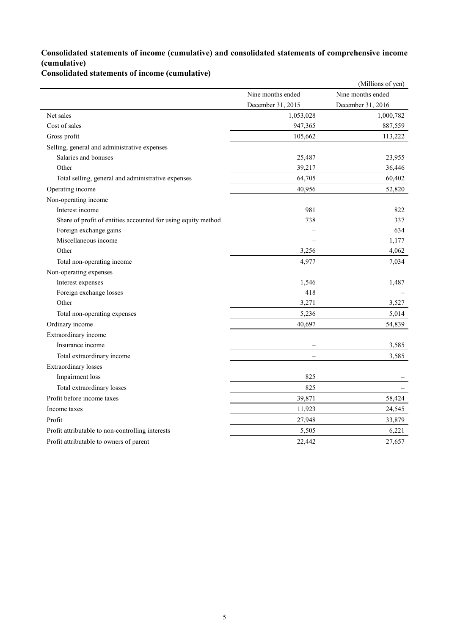## **Consolidated statements of income (cumulative) and consolidated statements of comprehensive income (cumulative)**

**Consolidated statements of income (cumulative)**

|                                                               |                   | (Millions of yen) |
|---------------------------------------------------------------|-------------------|-------------------|
|                                                               | Nine months ended | Nine months ended |
|                                                               | December 31, 2015 | December 31, 2016 |
| Net sales                                                     | 1,053,028         | 1,000,782         |
| Cost of sales                                                 | 947,365           | 887,559           |
| Gross profit                                                  | 105,662           | 113,222           |
| Selling, general and administrative expenses                  |                   |                   |
| Salaries and bonuses                                          | 25,487            | 23,955            |
| Other                                                         | 39,217            | 36,446            |
| Total selling, general and administrative expenses            | 64,705            | 60,402            |
| Operating income                                              | 40,956            | 52,820            |
| Non-operating income                                          |                   |                   |
| Interest income                                               | 981               | 822               |
| Share of profit of entities accounted for using equity method | 738               | 337               |
| Foreign exchange gains                                        |                   | 634               |
| Miscellaneous income                                          |                   | 1,177             |
| Other                                                         | 3,256             | 4,062             |
| Total non-operating income                                    | 4,977             | 7,034             |
| Non-operating expenses                                        |                   |                   |
| Interest expenses                                             | 1,546             | 1,487             |
| Foreign exchange losses                                       | 418               |                   |
| Other                                                         | 3,271             | 3,527             |
| Total non-operating expenses                                  | 5,236             | 5,014             |
| Ordinary income                                               | 40,697            | 54,839            |
| Extraordinary income                                          |                   |                   |
| Insurance income                                              |                   | 3,585             |
| Total extraordinary income                                    |                   | 3,585             |
| <b>Extraordinary</b> losses                                   |                   |                   |
| Impairment loss                                               | 825               |                   |
| Total extraordinary losses                                    | 825               |                   |
| Profit before income taxes                                    | 39,871            | 58,424            |
| Income taxes                                                  | 11,923            | 24,545            |
| Profit                                                        | 27,948            | 33,879            |
| Profit attributable to non-controlling interests              | 5,505             | 6,221             |
| Profit attributable to owners of parent                       | 22,442            | 27,657            |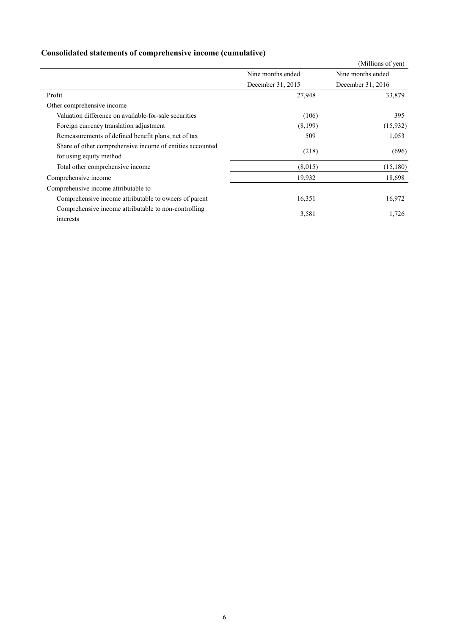|  | Consolidated statements of comprehensive income (cumulative) |  |
|--|--------------------------------------------------------------|--|
|  |                                                              |  |

|                                                           |                   | (Millions of yen)                      |  |
|-----------------------------------------------------------|-------------------|----------------------------------------|--|
|                                                           | Nine months ended | Nine months ended<br>December 31, 2016 |  |
|                                                           | December 31, 2015 |                                        |  |
| Profit                                                    | 27,948            | 33,879                                 |  |
| Other comprehensive income                                |                   |                                        |  |
| Valuation difference on available-for-sale securities     | (106)             | 395                                    |  |
| Foreign currency translation adjustment                   | (8,199)           | (15,932)                               |  |
| Remeasurements of defined benefit plans, net of tax       | 509               | 1,053                                  |  |
| Share of other comprehensive income of entities accounted | (218)             | (696)                                  |  |
| for using equity method                                   |                   |                                        |  |
| Total other comprehensive income                          | (8,015)           | (15, 180)                              |  |
| Comprehensive income                                      | 19,932            | 18,698                                 |  |
| Comprehensive income attributable to                      |                   |                                        |  |
| Comprehensive income attributable to owners of parent     | 16,351            | 16,972                                 |  |
| Comprehensive income attributable to non-controlling      | 3,581             | 1,726                                  |  |
| interests                                                 |                   |                                        |  |